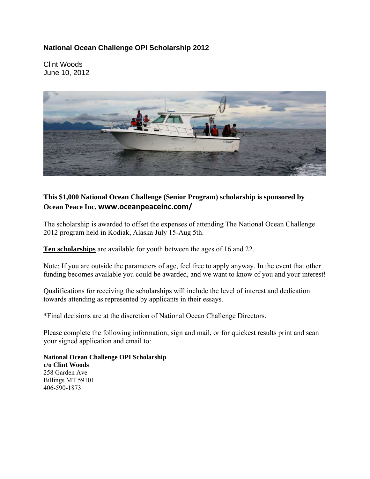## **National Ocean Challenge OPI Scholarship 2012**

Clint Woods June 10, 2012



## **This \$1,000 National Ocean Challenge (Senior Program) scholarship is sponsored by Ocean Peace Inc. www.oceanpeaceinc.com/**

The scholarship is awarded to offset the expenses of attending The National Ocean Challenge 2012 program held in Kodiak, Alaska July 15-Aug 5th.

**Ten scholarships** are available for youth between the ages of 16 and 22.

Note: If you are outside the parameters of age, feel free to apply anyway. In the event that other funding becomes available you could be awarded, and we want to know of you and your interest!

Qualifications for receiving the scholarships will include the level of interest and dedication towards attending as represented by applicants in their essays.

\*Final decisions are at the discretion of National Ocean Challenge Directors.

Please complete the following information, sign and mail, or for quickest results print and scan your signed application and email to:

**National Ocean Challenge OPI Scholarship c/o Clint Woods**  258 Garden Ave Billings MT 59101 406-590-1873